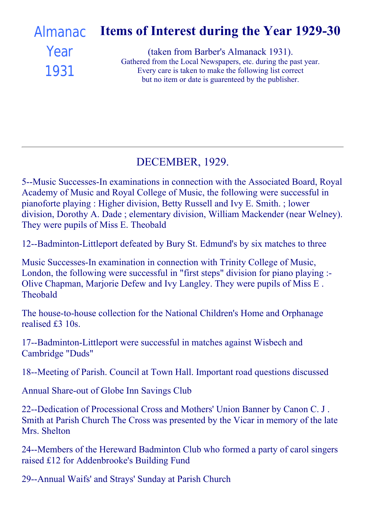#### Items of Interest during the Year 1929-30 (taken from Barber's Almanack 1931). Gathered from the Local Newspapers, etc. during the past year. Every care is taken to make the following list correct [Almanac](file:///C:/FrontPage%20Webs/Content/images/almanack/advert1931.jpg) Year 1931

but no item or date is guarenteed by the publisher.

## DECEMBER, 1929.

5--Music Successes-In examinations in connection with the Associated Board, Royal Academy of Music and Royal College of Music, the following were successful in pianoforte playing : Higher division, Betty Russell and Ivy E. Smith. ; lower division, Dorothy A. Dade ; elementary division, William Mackender (near Welney). They were pupils of Miss E. Theobald

12--Badminton-Littleport defeated by Bury St. Edmund's by six matches to three

Music Successes-In examination in connection with Trinity College of Music, London, the following were successful in "first steps" division for piano playing : Olive Chapman, Marjorie Defew and Ivy Langley. They were pupils of Miss E . Theobald

The house-to-house collection for the National Children's Home and Orphanage realised £3 10s.

17--Badminton-Littleport were successful in matches against Wisbech and Cambridge "Duds"

18--Meeting of Parish. Council at Town Hall. Important road questions discussed

Annual Share-out of Globe Inn Savings Club

22--Dedication of Processional Cross and Mothers' Union Banner by Canon C. J. Smith at Parish Church The Cross was presented by the Vicar in memory of the late Mrs. Shelton

24--Members of the Hereward Badminton Club who formed a party of carol singers raised £12 for Addenbrooke's Building Fund

29--Annual Waifs' and Strays' Sunday at Parish Church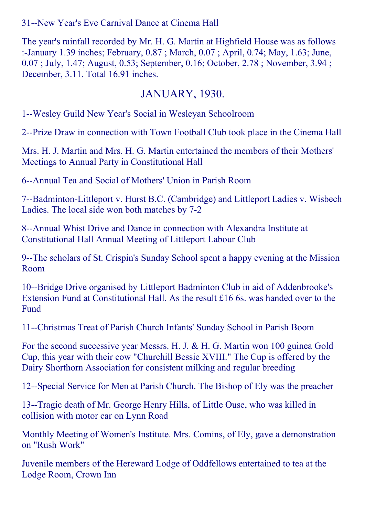31--New Year's Eve Carnival Dance at Cinema Hall

The year's rainfall recorded by Mr. H. G. Martin at Highfield House was as follows :January 1.39 inches; February, 0.87 ; March, 0.07 ; April, 0.74; May, 1.63; June, 0.07 ; July, 1.47; August, 0.53; September, 0.16; October, 2.78 ; November, 3.94 ; December, 3.11. Total 16.91 inches.

#### JANUARY, 1930.

1--Wesley Guild New Year's Social in Wesleyan Schoolroom

2--Prize Draw in connection with Town Football Club took place in the Cinema Hall

Mrs. H. J. Martin and Mrs. H. G. Martin entertained the members of their Mothers' Meetings to Annual Party in Constitutional Hall

6--Annual Tea and Social of Mothers' Union in Parish Room

7--Badminton-Littleport v. Hurst B.C. (Cambridge) and Littleport Ladies v. Wisbech Ladies. The local side won both matches by 7-2

8--Annual Whist Drive and Dance in connection with Alexandra Institute at Constitutional Hall Annual Meeting of Littleport Labour Club

9--The scholars of St. Crispin's Sunday School spent a happy evening at the Mission Room

10--Bridge Drive organised by Littleport Badminton Club in aid of Addenbrooke's Extension Fund at Constitutional Hall. As the result £16 6s. was handed over to the Fund

11--Christmas Treat of Parish Church Infants' Sunday School in Parish Boom

For the second successive year Messrs. H. J. & H. G. Martin won 100 guinea Gold Cup, this year with their cow "Churchill Bessie XVIII." The Cup is offered by the Dairy Shorthorn Association for consistent milking and regular breeding

12--Special Service for Men at Parish Church. The Bishop of Ely was the preacher

13--Tragic death of Mr. George Henry Hills, of Little Ouse, who was killed in collision with motor car on Lynn Road

Monthly Meeting of Women's Institute. Mrs. Comins, of Ely, gave a demonstration on "Rush Work"

Juvenile members of the Hereward Lodge of Oddfellows entertained to tea at the Lodge Room, Crown Inn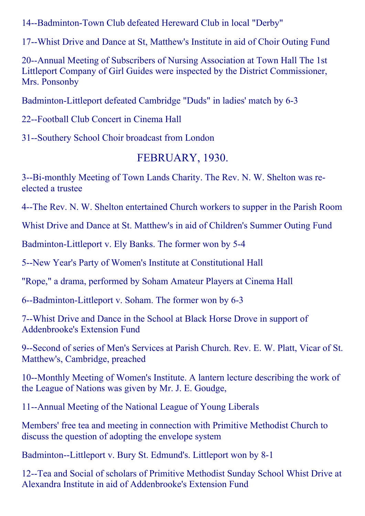14--Badminton-Town Club defeated Hereward Club in local "Derby"

17--Whist Drive and Dance at St, Matthew's Institute in aid of Choir Outing Fund

20--Annual Meeting of Subscribers of Nursing Association at Town Hall The 1st Littleport Company of Girl Guides were inspected by the District Commissioner, Mrs. Ponsonby

Badminton-Littleport defeated Cambridge "Duds" in ladies' match by 6-3

22--Football Club Concert in Cinema Hall

31--Southery School Choir broadcast from London

## FEBRUARY, 1930.

3--Bi-monthly Meeting of Town Lands Charity. The Rev. N. W. Shelton was reelected a trustee

4--The Rev. N. W. Shelton entertained Church workers to supper in the Parish Room

Whist Drive and Dance at St. Matthew's in aid of Children's Summer Outing Fund

Badminton-Littleport v. Ely Banks. The former won by 5-4

5--New Year's Party of Women's Institute at Constitutional Hall

"Rope," a drama, performed by Soham Amateur Players at Cinema Hall

6--Badminton-Littleport v. Soham. The former won by 6-3

7--Whist Drive and Dance in the School at Black Horse Drove in support of Addenbrooke's Extension Fund

9--Second of series of Men's Services at Parish Church. Rev. E. W. Platt, Vicar of St. Matthew's, Cambridge, preached

10--Monthly Meeting of Women's Institute. A lantern lecture describing the work of the League of Nations was given by Mr. J. E. Goudge,

11--Annual Meeting of the National League of Young Liberals

Members' free tea and meeting in connection with Primitive Methodist Church to discuss the question of adopting the envelope system

Badminton--Littleport v. Bury St. Edmund's. Littleport won by 8-1

12--Tea and Social of scholars of Primitive Methodist Sunday School Whist Drive at Alexandra Institute in aid of Addenbrooke's Extension Fund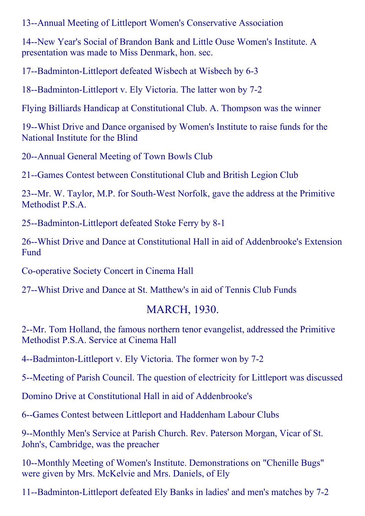13--Annual Meeting of Littleport Women's Conservative Association

14--New Year's Social of Brandon Bank and Little Ouse Women's Institute. A presentation was made to Miss Denmark, hon. sec.

17--Badminton-Littleport defeated Wisbech at Wisbech by 6-3

18--Badminton-Littleport v. Ely Victoria. The latter won by 7-2

Flying Billiards Handicap at Constitutional Club. A. Thompson was the winner

19--Whist Drive and Dance organised by Women's Institute to raise funds for the National Institute for the Blind

20--Annual General Meeting of Town Bowls Club

21-Games Contest between Constitutional Club and British Legion Club

23--Mr. W. Taylor, M.P. for South-West Norfolk, gave the address at the Primitive Methodist P.S.A.

25--Badminton-Littleport defeated Stoke Ferry by 8-1

26--Whist Drive and Dance at Constitutional Hall in aid of Addenbrooke's Extension Fund

Co-operative Society Concert in Cinema Hall

27--Whist Drive and Dance at St. Matthew's in aid of Tennis Club Funds

#### MARCH, 1930.

2--Mr. Tom Holland, the famous northern tenor evangelist, addressed the Primitive Methodist P.S.A. Service at Cinema Hall

4--Badminton-Littleport v. Ely Victoria. The former won by 7-2

5--Meeting of Parish Council. The question of electricity for Littleport was discussed

Domino Drive at Constitutional Hall in aid of Addenbrooke's

6--Games Contest between Littleport and Haddenham Labour Clubs

9--Monthly Men's Service at Parish Church. Rev. Paterson Morgan, Vicar of St. John's, Cambridge, was the preacher

10--Monthly Meeting of Women's Institute. Demonstrations on "Chenille Bugs" were given by Mrs. McKelvie and Mrs. Daniels, of Ely

11--Badminton-Littleport defeated Ely Banks in ladies' and men's matches by 7-2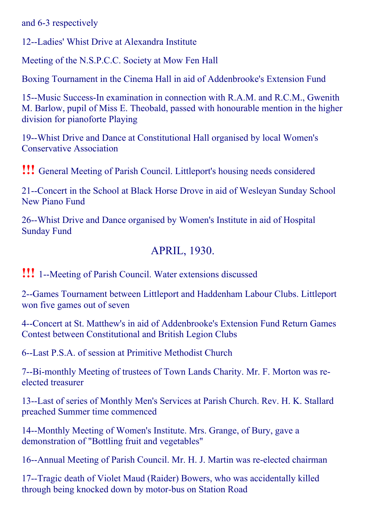and 6-3 respectively

12--Ladies' Whist Drive at Alexandra Institute

Meeting of the N.S.P.C.C. Society at Mow Fen Hall

Boxing Tournament in the Cinema Hall in aid of Addenbrooke's Extension Fund

15--Music Success-In examination in connection with R.A.M. and R.C.M., Gwenith M. Barlow, pupil of Miss E. Theobald, passed with honourable mention in the higher division for pianoforte Playing

19--Whist Drive and Dance at Constitutional Hall organised by local Women's Conservative Association

!!! General Meeting of Parish Council. Littleport's housing needs considered

21--Concert in the School at Black Horse Drove in aid of Wesleyan Sunday School New Piano Fund

26--Whist Drive and Dance organised by Women's Institute in aid of Hospital Sunday Fund

## APRIL, 1930.

**!!!** 1--Meeting of Parish Council. Water extensions discussed

2--Games Tournament between Littleport and Haddenham Labour Clubs. Littleport won five games out of seven

4--Concert at St. Matthew's in aid of Addenbrooke's Extension Fund Return Games Contest between Constitutional and British Legion Clubs

6--Last P.S.A. of session at Primitive Methodist Church

7--Bi-monthly Meeting of trustees of Town Lands Charity. Mr. F. Morton was reelected treasurer

13--Last of series of Monthly Men's Services at Parish Church. Rev. H. K. Stallard preached Summer time commenced

14--Monthly Meeting of Women's Institute. Mrs. Grange, of Bury, gave a demonstration of "Bottling fruit and vegetables"

16--Annual Meeting of Parish Council. Mr. H. J. Martin was re-elected chairman

17--Tragic death of Violet Maud (Raider) Bowers, who was accidentally killed through being knocked down by motor-bus on Station Road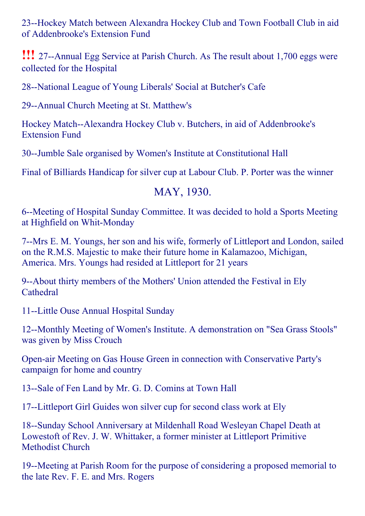23--Hockey Match between Alexandra Hockey Club and Town Football Club in aid of Addenbrooke's Extension Fund

**!!!** 27--Annual Egg Service at Parish Church. As The result about 1,700 eggs were collected for the Hospital

28--National League of Young Liberals' Social at Butcher's Cafe

29--Annual Church Meeting at St. Matthew's

Hockey Match--Alexandra Hockey Club v. Butchers, in aid of Addenbrooke's Extension Fund

30--Jumble Sale organised by Women's Institute at Constitutional Hall

Final of Billiards Handicap for silver cup at Labour Club. P. Porter was the winner

#### MAY, 1930.

6--Meeting of Hospital Sunday Committee. It was decided to hold a Sports Meeting at Highfield on Whit-Monday

7--Mrs E. M. Youngs, her son and his wife, formerly of Littleport and London, sailed on the R.M.S. Majestic to make their future home in Kalamazoo, Michigan, America. Mrs. Youngs had resided at Littleport for 21 years

9--About thirty members of the Mothers' Union attended the Festival in Ely Cathedral

11--Little Ouse Annual Hospital Sunday

12--Monthly Meeting of Women's Institute. A demonstration on "Sea Grass Stools" was given by Miss Crouch

Openair Meeting on Gas House Green in connection with Conservative Party's campaign for home and country

13--Sale of Fen Land by Mr. G. D. Comins at Town Hall

17--Littleport Girl Guides won silver cup for second class work at Ely

18--Sunday School Anniversary at Mildenhall Road Wesleyan Chapel Death at Lowestoft of Rev. J. W. Whittaker, a former minister at Littleport Primitive Methodist Church

19--Meeting at Parish Room for the purpose of considering a proposed memorial to the late Rev. F. E. and Mrs. Rogers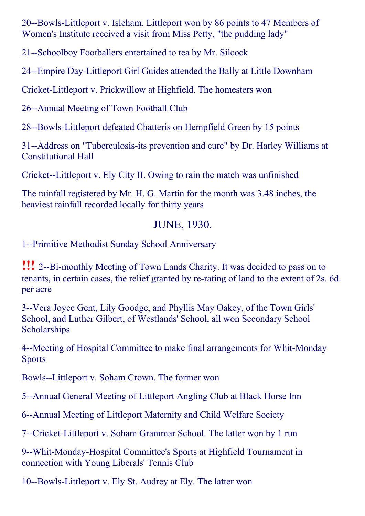20--Bowls-Littleport v. Isleham. Littleport won by 86 points to 47 Members of Women's Institute received a visit from Miss Petty, "the pudding lady"

21--Schoolboy Footballers entertained to tea by Mr. Silcock

24--Empire Day-Littleport Girl Guides attended the Bally at Little Downham

Cricket-Littleport v. Prickwillow at Highfield. The homesters won

26--Annual Meeting of Town Football Club

28--Bowls-Littleport defeated Chatteris on Hempfield Green by 15 points

31--Address on "Tuberculosis-its prevention and cure" by Dr. Harley Williams at Constitutional Hall

Cricket--Littleport v. Ely City II. Owing to rain the match was unfinished

The rainfall registered by Mr. H. G. Martin for the month was 3.48 inches, the heaviest rainfall recorded locally for thirty years

## JUNE, 1930.

1--Primitive Methodist Sunday School Anniversary

**!!!** 2--Bi-monthly Meeting of Town Lands Charity. It was decided to pass on to tenants, in certain cases, the relief granted by re-rating of land to the extent of 2s. 6d. per acre

3--Vera Joyce Gent, Lily Goodge, and Phyllis May Oakey, of the Town Girls' School, and Luther Gilbert, of Westlands' School, all won Secondary School **Scholarships** 

4--Meeting of Hospital Committee to make final arrangements for Whit-Monday **Sports** 

Bowls--Littleport v. Soham Crown. The former won

5--Annual General Meeting of Littleport Angling Club at Black Horse Inn

6--Annual Meeting of Littleport Maternity and Child Welfare Society

7--Cricket-Littleport v. Soham Grammar School. The latter won by 1 run

9--Whit-Monday-Hospital Committee's Sports at Highfield Tournament in connection with Young Liberals' Tennis Club

10--Bowls-Littleport v. Ely St. Audrey at Ely. The latter won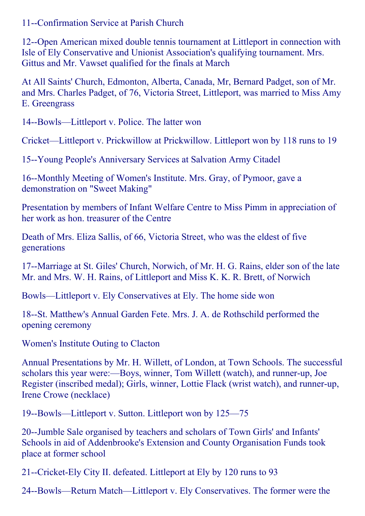11--Confirmation Service at Parish Church

12--Open American mixed double tennis tournament at Littleport in connection with Isle of Ely Conservative and Unionist Association's qualifying tournament. Mrs. Gittus and Mr. Vawset qualified for the finals at March

At All Saints' Church, Edmonton, Alberta, Canada, Mr, Bernard Padget, son of Mr. and Mrs. Charles Padget, of 76, Victoria Street, Littleport, was married to Miss Amy E. Greengrass

14--Bowls—Littleport v. Police. The latter won

Cricket—Littleport v. Prickwillow at Prickwillow. Littleport won by 118 runs to 19

15-Young People's Anniversary Services at Salvation Army Citadel

16--Monthly Meeting of Women's Institute. Mrs. Gray, of Pymoor, gave a demonstration on "Sweet Making"

Presentation by members of Infant Welfare Centre to Miss Pimm in appreciation of her work as hon. treasurer of the Centre

Death of Mrs. Eliza Sallis, of 66, Victoria Street, who was the eldest of five generations

17--Marriage at St. Giles' Church, Norwich, of Mr. H. G. Rains, elder son of the late Mr. and Mrs. W. H. Rains, of Littleport and Miss K. K. R. Brett, of Norwich

Bowls—Littleport v. Ely Conservatives at Ely. The home side won

18--St. Matthew's Annual Garden Fete. Mrs. J. A. de Rothschild performed the opening ceremony

Women's Institute Outing to Clacton

Annual Presentations by Mr. H. Willett, of London, at Town Schools. The successful scholars this year were:—Boys, winner, Tom Willett (watch), and runner-up, Joe Register (inscribed medal); Girls, winner, Lottie Flack (wrist watch), and runner-up, Irene Crowe (necklace)

19--Bowls—Littleport v. Sutton. Littleport won by 125—75

20--Jumble Sale organised by teachers and scholars of Town Girls' and Infants' Schools in aid of Addenbrooke's Extension and County Organisation Funds took place at former school

21--Cricket-Ely City II. defeated. Littleport at Ely by 120 runs to 93

24--Bowls—Return Match—Littleport v. Ely Conservatives. The former were the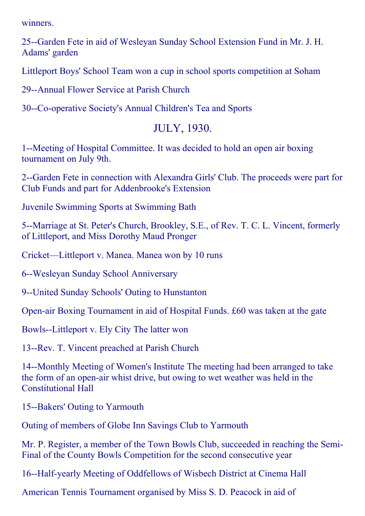winners.

25--Garden Fete in aid of Wesleyan Sunday School Extension Fund in Mr. J. H. Adams' garden

Littleport Boys' School Team won a cup in school sports competition at Soham

29--Annual Flower Service at Parish Church

30--Co-operative Society's Annual Children's Tea and Sports

#### JULY, 1930.

1--Meeting of Hospital Committee. It was decided to hold an open air boxing tournament on July 9th.

2--Garden Fete in connection with Alexandra Girls' Club. The proceeds were part for Club Funds and part for Addenbrooke's Extension

Juvenile Swimming Sports at Swimming Bath

5--Marriage at St. Peter's Church, Brookley, S.E., of Rev. T. C. L. Vincent, formerly of Littleport, and Miss Dorothy Maud Pronger

Cricket—Littleport v. Manea. Manea won by 10 runs

6--Wesleyan Sunday School Anniversary

9--United Sunday Schools' Outing to Hunstanton

Openair Boxing Tournament in aid of Hospital Funds. £60 was taken at the gate

Bowls--Littleport v. Ely City The latter won

13--Rev. T. Vincent preached at Parish Church

14--Monthly Meeting of Women's Institute The meeting had been arranged to take the form of an open-air whist drive, but owing to wet weather was held in the Constitutional Hall

15--Bakers' Outing to Yarmouth

Outing of members of Globe Inn Savings Club to Yarmouth

Mr. P. Register, a member of the Town Bowls Club, succeeded in reaching the Semi-Final of the County Bowls Competition for the second consecutive year

16--Half-yearly Meeting of Oddfellows of Wisbech District at Cinema Hall

American Tennis Tournament organised by Miss S. D. Peacock in aid of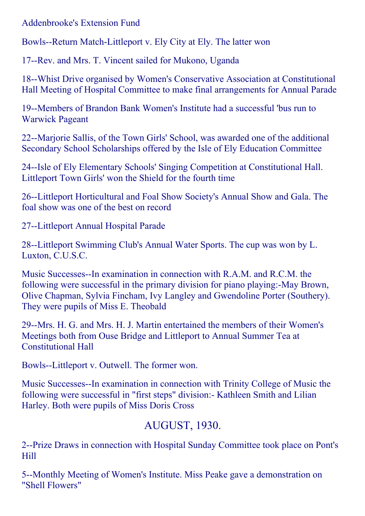Addenbrooke's Extension Fund

Bowls--Return Match-Littleport v. Ely City at Ely. The latter won

17--Rev. and Mrs. T. Vincent sailed for Mukono, Uganda

18--Whist Drive organised by Women's Conservative Association at Constitutional Hall Meeting of Hospital Committee to make final arrangements for Annual Parade

19--Members of Brandon Bank Women's Institute had a successful 'bus run to Warwick Pageant

22--Marjorie Sallis, of the Town Girls' School, was awarded one of the additional Secondary School Scholarships offered by the Isle of Ely Education Committee

24--Isle of Ely Elementary Schools' Singing Competition at Constitutional Hall. Littleport Town Girls' won the Shield for the fourth time

26--Littleport Horticultural and Foal Show Society's Annual Show and Gala. The foal show was one of the best on record

27--Littleport Annual Hospital Parade

28--Littleport Swimming Club's Annual Water Sports. The cup was won by L. Luxton, C.U.S.C.

Music Successes--In examination in connection with R.A.M. and R.C.M. the following were successful in the primary division for piano playing:-May Brown, Olive Chapman, Sylvia Fincham, Ivy Langley and Gwendoline Porter (Southery). They were pupils of Miss E. Theobald

29--Mrs. H. G. and Mrs. H. J. Martin entertained the members of their Women's Meetings both from Ouse Bridge and Littleport to Annual Summer Tea at Constitutional Hall

Bowls--Littleport v. Outwell. The former won.

Music Successes--In examination in connection with Trinity College of Music the following were successful in "first steps" division: Kathleen Smith and Lilian Harley. Both were pupils of Miss Doris Cross

# AUGUST, 1930.

2--Prize Draws in connection with Hospital Sunday Committee took place on Pont's Hill

5--Monthly Meeting of Women's Institute. Miss Peake gave a demonstration on "Shell Flowers"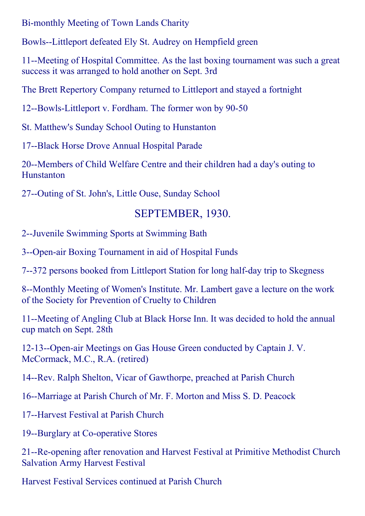Bi-monthly Meeting of Town Lands Charity

Bowls--Littleport defeated Ely St. Audrey on Hempfield green

11--Meeting of Hospital Committee. As the last boxing tournament was such a great success it was arranged to hold another on Sept. 3rd

The Brett Repertory Company returned to Littleport and stayed a fortnight

12--Bowls-Littleport v. Fordham. The former won by 90-50

St. Matthew's Sunday School Outing to Hunstanton

17--Black Horse Drove Annual Hospital Parade

20--Members of Child Welfare Centre and their children had a day's outing to Hunstanton

27--Outing of St. John's, Little Ouse, Sunday School

## SEPTEMBER, 1930.

2--Juvenile Swimming Sports at Swimming Bath

3--Open-air Boxing Tournament in aid of Hospital Funds

7--372 persons booked from Littleport Station for long half-day trip to Skegness

8--Monthly Meeting of Women's Institute. Mr. Lambert gave a lecture on the work of the Society for Prevention of Cruelty to Children

11--Meeting of Angling Club at Black Horse Inn. It was decided to hold the annual cup match on Sept. 28th

12-13--Open-air Meetings on Gas House Green conducted by Captain J. V. McCormack, M.C., R.A. (retired)

14--Rev. Ralph Shelton, Vicar of Gawthorpe, preached at Parish Church

16--Marriage at Parish Church of Mr. F. Morton and Miss S. D. Peacock

17--Harvest Festival at Parish Church

19--Burglary at Co-operative Stores

21--Re-opening after renovation and Harvest Festival at Primitive Methodist Church Salvation Army Harvest Festival

Harvest Festival Services continued at Parish Church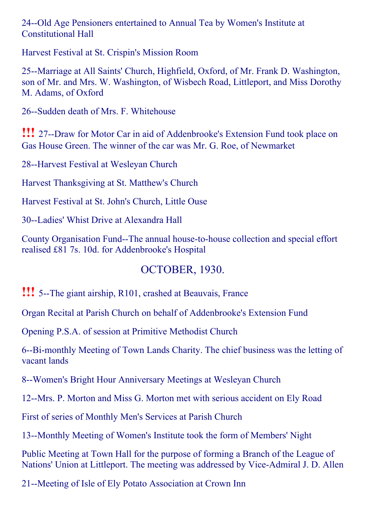24--Old Age Pensioners entertained to Annual Tea by Women's Institute at Constitutional Hall

Harvest Festival at St. Crispin's Mission Room

25--Marriage at All Saints' Church, Highfield, Oxford, of Mr. Frank D. Washington, son of Mr. and Mrs. W. Washington, of Wisbech Road, Littleport, and Miss Dorothy M. Adams, of Oxford

26-Sudden death of Mrs. F. Whitehouse

**!!!** 27--Draw for Motor Car in aid of Addenbrooke's Extension Fund took place on Gas House Green. The winner of the car was Mr. G. Roe, of Newmarket

28--Harvest Festival at Wesleyan Church

Harvest Thanksgiving at St. Matthew's Church

Harvest Festival at St. John's Church, Little Ouse

30--Ladies' Whist Drive at Alexandra Hall

County Organisation Fund--The annual house-to-house collection and special effort realised £81 7s. 10d. for Addenbrooke's Hospital

## OCTOBER, 1930.

**!!!** 5--The giant airship, R101, crashed at Beauvais, France

Organ Recital at Parish Church on behalf of Addenbrooke's Extension Fund

Opening P.S.A. of session at Primitive Methodist Church

6--Bi-monthly Meeting of Town Lands Charity. The chief business was the letting of vacant lands

8--Women's Bright Hour Anniversary Meetings at Wesleyan Church

12--Mrs. P. Morton and Miss G. Morton met with serious accident on Ely Road

First of series of Monthly Men's Services at Parish Church

13--Monthly Meeting of Women's Institute took the form of Members' Night

Public Meeting at Town Hall for the purpose of forming a Branch of the League of Nations' Union at Littleport. The meeting was addressed by Vice-Admiral J. D. Allen

21--Meeting of Isle of Ely Potato Association at Crown Inn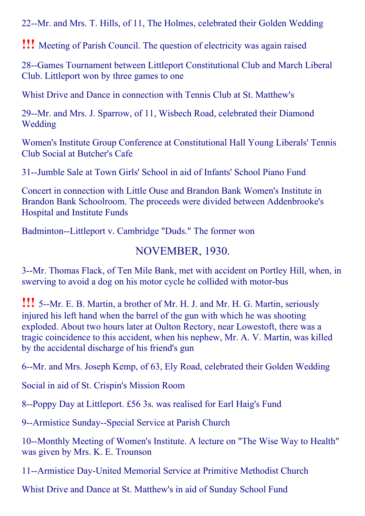22--Mr. and Mrs. T. Hills, of 11, The Holmes, celebrated their Golden Wedding

!!! Meeting of Parish Council. The question of electricity was again raised

28--Games Tournament between Littleport Constitutional Club and March Liberal Club. Littleport won by three games to one

Whist Drive and Dance in connection with Tennis Club at St. Matthew's

29--Mr. and Mrs. J. Sparrow, of 11, Wisbech Road, celebrated their Diamond **Wedding** 

Women's Institute Group Conference at Constitutional Hall Young Liberals' Tennis Club Social at Butcher's Cafe

31--Jumble Sale at Town Girls' School in aid of Infants' School Piano Fund

Concert in connection with Little Ouse and Brandon Bank Women's Institute in Brandon Bank Schoolroom. The proceeds were divided between Addenbrooke's Hospital and Institute Funds

Badminton--Littleport v. Cambridge "Duds." The former won

#### NOVEMBER, 1930.

3--Mr. Thomas Flack, of Ten Mile Bank, met with accident on Portley Hill, when, in swerving to avoid a dog on his motor cycle he collided with motor-bus

**!!!** 5--Mr. E. B. Martin, a brother of Mr. H. J. and Mr. H. G. Martin, seriously injured his left hand when the barrel of the gun with which he was shooting exploded. About two hours later at Oulton Rectory, near Lowestoft, there was a tragic coincidence to this accident, when his nephew, Mr. A. V. Martin, was killed by the accidental discharge of his friend's gun

6--Mr. and Mrs. Joseph Kemp, of 63, Ely Road, celebrated their Golden Wedding

Social in aid of St. Crispin's Mission Room

8--Poppy Day at Littleport. £56 3s. was realised for Earl Haig's Fund

9--Armistice Sunday--Special Service at Parish Church

10--Monthly Meeting of Women's Institute. A lecture on "The Wise Way to Health" was given by Mrs. K. E. Trounson

11--Armistice Day-United Memorial Service at Primitive Methodist Church

Whist Drive and Dance at St. Matthew's in aid of Sunday School Fund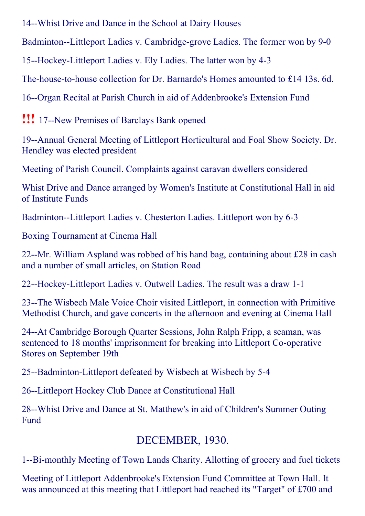14--Whist Drive and Dance in the School at Dairy Houses

Badminton--Littleport Ladies v. Cambridge-grove Ladies. The former won by 9-0

15--Hockey-Littleport Ladies v. Ely Ladies. The latter won by 4-3

The-house-to-house collection for Dr. Barnardo's Homes amounted to £14 13s. 6d.

16--Organ Recital at Parish Church in aid of Addenbrooke's Extension Fund

**!!!** 17--New Premises of Barclays Bank opened

19--Annual General Meeting of Littleport Horticultural and Foal Show Society. Dr. Hendley was elected president

Meeting of Parish Council. Complaints against caravan dwellers considered

Whist Drive and Dance arranged by Women's Institute at Constitutional Hall in aid of Institute Funds

Badminton--Littleport Ladies v. Chesterton Ladies. Littleport won by 6-3

Boxing Tournament at Cinema Hall

22--Mr. William Aspland was robbed of his hand bag, containing about  $\text{\pounds}28$  in cash and a number of small articles, on Station Road

22--Hockey-Littleport Ladies v. Outwell Ladies. The result was a draw 1-1

23--The Wisbech Male Voice Choir visited Littleport, in connection with Primitive Methodist Church, and gave concerts in the afternoon and evening at Cinema Hall

24--At Cambridge Borough Quarter Sessions, John Ralph Fripp, a seaman, was sentenced to 18 months' imprisonment for breaking into Littleport Co-operative Stores on September 19th

25--Badminton-Littleport defeated by Wisbech at Wisbech by 5-4

26--Littleport Hockey Club Dance at Constitutional Hall

28--Whist Drive and Dance at St. Matthew's in aid of Children's Summer Outing Fund

## DECEMBER, 1930.

1--Bi-monthly Meeting of Town Lands Charity. Allotting of grocery and fuel tickets

Meeting of Littleport Addenbrooke's Extension Fund Committee at Town Hall. It was announced at this meeting that Littleport had reached its "Target" of £700 and